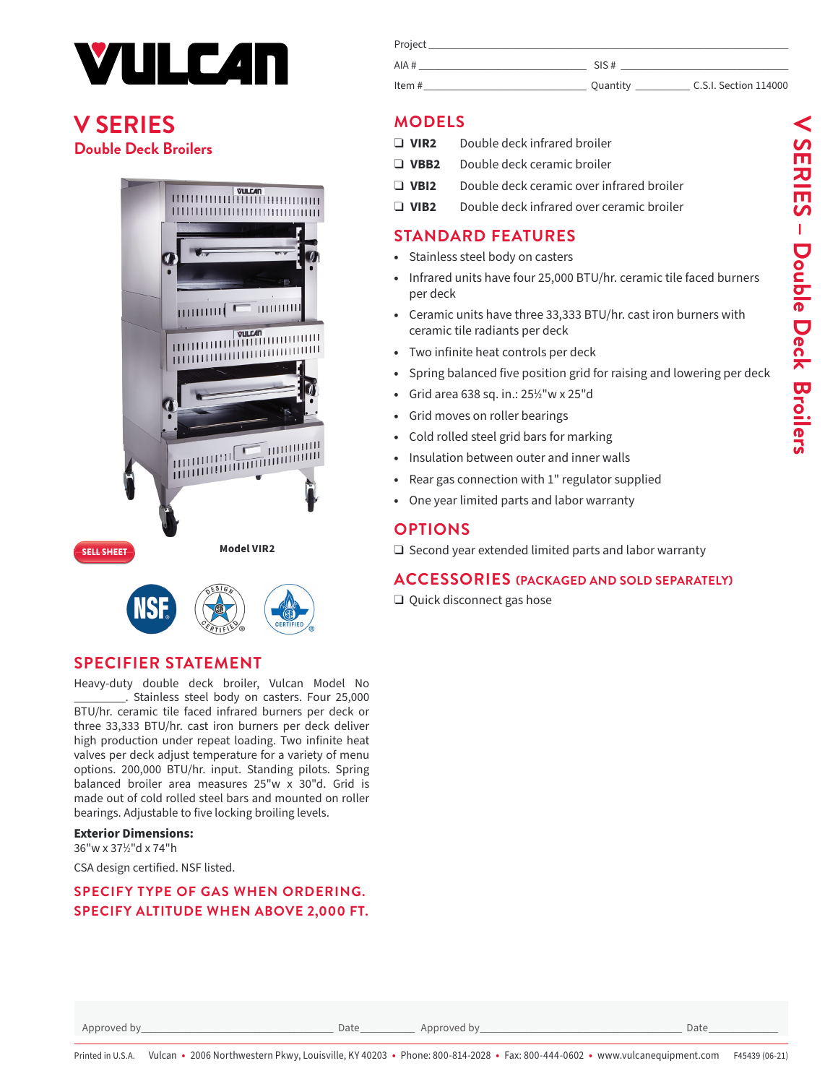

# **[V SERIES](https://www.vulcanequipment.com/broilers/36-salamander-double-deck-gas-infrared-freestanding-broiler) Double Deck Broilers**





### **SPECIFIER STATEMENT**

Heavy-duty double deck broiler, Vulcan Model No Stainless steel body on casters. Four 25,000 BTU/hr. ceramic tile faced infrared burners per deck or three 33,333 BTU/hr. cast iron burners per deck deliver high production under repeat loading. Two infinite heat valves per deck adjust temperature for a variety of menu options. 200,000 BTU/hr. input. Standing pilots. Spring balanced broiler area measures 25"w x 30"d. Grid is made out of cold rolled steel bars and mounted on roller bearings. Adjustable to five locking broiling levels.

#### **Exterior Dimensions:**

36"w x 371 ⁄2"d x 74"h

CSA design certified. NSF listed.

#### **SPECIFY TYPE OF GAS WHEN ORDERING. SPECIFY ALTITUDE WHEN ABOVE 2,000 FT.**

| Project |          |                       |
|---------|----------|-----------------------|
| AIA #   | SIS #    |                       |
| Item#   | Quantity | C.S.I. Section 114000 |

# **MODELS**

- ❑ **VIR2** Double deck infrared broiler
- ❑ **VBB2** Double deck ceramic broiler
- ❑ **VBI2** Double deck ceramic over infrared broiler
- ❑ **VIB2** Double deck infrared over ceramic broiler

# **STANDARD FEATURES**

- **•** Stainless steel body on casters
- **•** Infrared units have four 25,000 BTU/hr. ceramic tile faced burners per deck
- **•** Ceramic units have three 33,333 BTU/hr. cast iron burners with ceramic tile radiants per deck
- **•** Two infinite heat controls per deck
- **•** Spring balanced five position grid for raising and lowering per deck
- **•** Grid area 638 sq. in.: 251 ⁄2"w x 25"d
- **•** Grid moves on roller bearings
- **•** Cold rolled steel grid bars for marking
- **•** Insulation between outer and inner walls
- **•** Rear gas connection with 1" regulator supplied
- **•** One year limited parts and labor warranty

# **OPTIONS**

❑ Second year extended limited parts and labor warranty

#### **ACCESSORIES (PACKAGED AND SOLD SEPARATELY)**

❑ Quick disconnect gas hose

Approved by\_\_\_\_\_\_\_\_\_\_\_\_\_\_\_\_\_\_\_\_\_\_\_\_\_\_\_\_\_\_\_\_\_\_\_\_\_\_\_ Date\_\_\_\_\_\_\_\_\_\_\_ Approved by\_\_\_\_\_\_\_\_\_\_\_\_\_\_\_\_\_\_\_\_\_\_\_\_\_\_\_\_\_\_\_\_\_\_\_\_\_\_\_\_\_ Date\_\_\_\_\_\_\_\_\_\_\_\_\_\_